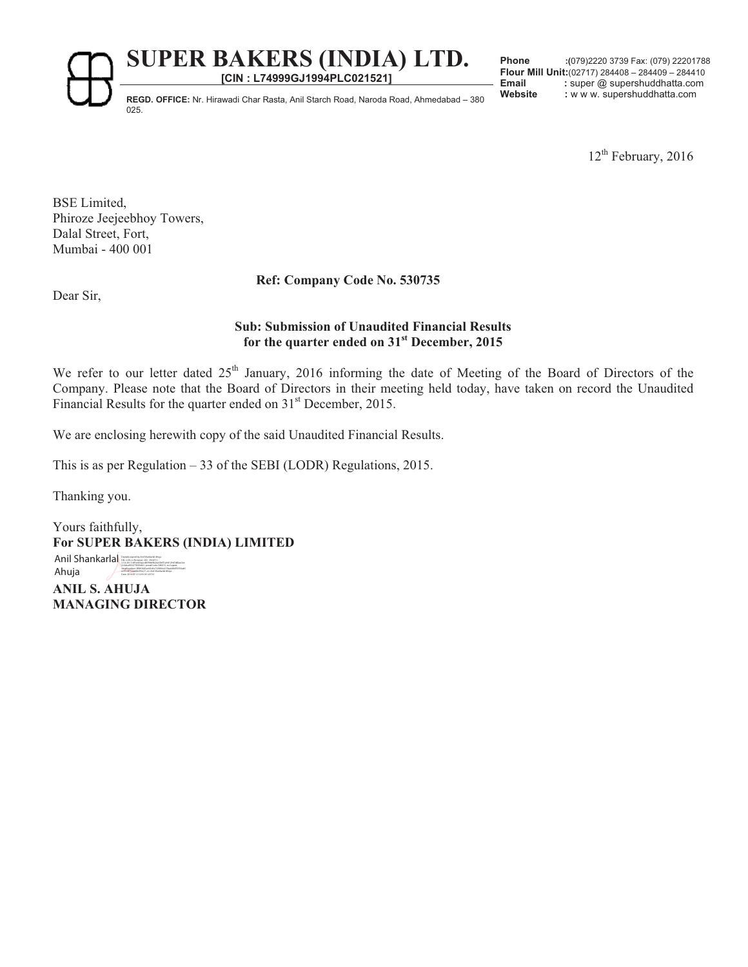**[CIN : L74999GJ1994PLC021521]**

**Phone :(**079)2220 3739 Fax: (079) 22201788 **Flour Mill Unit:**(02717) 284408 – 284409 – 284410 Email : super @ supershuddhatta.com

REGD. OFFICE: Nr. Hirawadi Char Rasta, Anil Starch Road, Naroda Road, Ahmedabad – 380 Website : w w w. supershuddhatta.com 025.

 $12<sup>th</sup>$  February, 2016

BSE Limited, Phiroze Jeejeebhoy Towers, Dalal Street, Fort, Mumbai - 400 001

# **Ref: Company Code No. 530735**

Dear Sir,

## **Sub: Submission of Unaudited Financial Results for the quarter ended on 31st December, 2015**

We refer to our letter dated 25<sup>th</sup> January, 2016 informing the date of Meeting of the Board of Directors of the Company. Please note that the Board of Directors in their meeting held today, have taken on record the Unaudited Financial Results for the quarter ended on 31<sup>st</sup> December, 2015.

We are enclosing herewith copy of the said Unaudited Financial Results.

This is as per Regulation – 33 of the SEBI (LODR) Regulations, 2015.

Thanking you.

Yours faithfully, **For SUPER BAKERS (INDIA) LIMITED ANIL S. AHUJA MANAGING DIRECTOR**  Anil Shankarlal Ahuja 5c0decd95477855b841, postalCode=380015, st=Gujarat, Date: 2016.02.12 12:03:18 +05'30'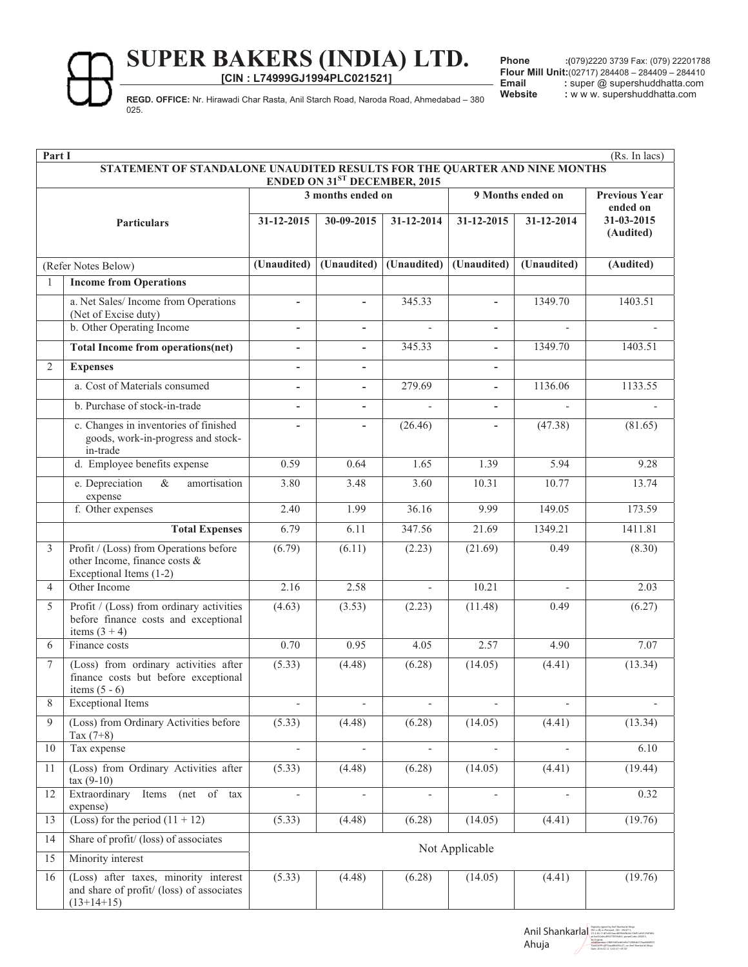**[CIN : L74999GJ1994PLC021521]**

**Phone :(**079)2220 3739 Fax: (079) 22201788 **Flour Mill Unit:**(02717) 284408 – 284409 – 284410 Email : super @ supershuddhatta.com

REGD. OFFICE: Nr. Hirawadi Char Rasta, Anil Starch Road, Naroda Road, Ahmedabad – 380 Website : w w w. supershuddhatta.com 025.

|                     | (Rs. In lacs)<br>Part I                                                                                   |                          |                          |                          |                          |             |                                  |
|---------------------|-----------------------------------------------------------------------------------------------------------|--------------------------|--------------------------|--------------------------|--------------------------|-------------|----------------------------------|
|                     | STATEMENT OF STANDALONE UNAUDITED RESULTS FOR THE QUARTER AND NINE MONTHS<br>ENDED ON 31ST DECEMBER, 2015 |                          |                          |                          |                          |             |                                  |
|                     |                                                                                                           | 3 months ended on        |                          |                          | 9 Months ended on        |             | <b>Previous Year</b><br>ended on |
|                     | Particulars                                                                                               | 31-12-2015               | 30-09-2015               | 31-12-2014               | 31-12-2015               | 31-12-2014  | 31-03-2015<br>(Audited)          |
| (Refer Notes Below) |                                                                                                           | (Unaudited)              | (Unaudited)              | (Unaudited)              | (Unaudited)              | (Unaudited) | (Audited)                        |
| -1                  | <b>Income from Operations</b>                                                                             |                          |                          |                          |                          |             |                                  |
|                     | a. Net Sales/ Income from Operations<br>(Net of Excise duty)                                              | $\blacksquare$           | $\sim$                   | 345.33                   |                          | 1349.70     | 1403.51                          |
|                     | b. Other Operating Income                                                                                 | $\overline{\phantom{a}}$ | $\overline{\phantom{m}}$ | $\overline{a}$           | $\blacksquare$           |             |                                  |
|                     | <b>Total Income from operations(net)</b>                                                                  | $\blacksquare$           | $\overline{\phantom{m}}$ | 345.33                   | $\blacksquare$           | 1349.70     | 1403.51                          |
| $\overline{2}$      | <b>Expenses</b>                                                                                           |                          |                          |                          |                          |             |                                  |
|                     | a. Cost of Materials consumed                                                                             | $\overline{\phantom{a}}$ | $\overline{\phantom{a}}$ | 279.69                   | ٠                        | 1136.06     | 1133.55                          |
|                     | b. Purchase of stock-in-trade                                                                             | $\overline{\phantom{a}}$ | $\overline{\phantom{a}}$ |                          | $\overline{\phantom{a}}$ |             |                                  |
|                     | c. Changes in inventories of finished<br>goods, work-in-progress and stock-<br>in-trade                   |                          |                          | (26.46)                  |                          | (47.38)     | (81.65)                          |
|                     | d. Employee benefits expense                                                                              | 0.59                     | 0.64                     | 1.65                     | 1.39                     | 5.94        | 9.28                             |
|                     | $\overline{\&}$<br>e. Depreciation<br>amortisation<br>expense                                             | 3.80                     | 3.48                     | 3.60                     | 10.31                    | 10.77       | 13.74                            |
|                     | f. Other expenses                                                                                         | 2.40                     | 1.99                     | 36.16                    | 9.99                     | 149.05      | 173.59                           |
|                     | <b>Total Expenses</b>                                                                                     | 6.79                     | 6.11                     | 347.56                   | 21.69                    | 1349.21     | 1411.81                          |
| 3                   | Profit / (Loss) from Operations before<br>other Income, finance costs &<br>Exceptional Items (1-2)        | (6.79)                   | (6.11)                   | (2.23)                   | (21.69)                  | 0.49        | (8.30)                           |
| $\overline{4}$      | Other Income                                                                                              | 2.16                     | 2.58                     |                          | 10.21                    |             | 2.03                             |
| 5                   | Profit / (Loss) from ordinary activities<br>before finance costs and exceptional<br>items $(3 + 4)$       | (4.63)                   | (3.53)                   | (2.23)                   | (11.48)                  | 0.49        | (6.27)                           |
| 6                   | Finance costs                                                                                             | 0.70                     | 0.95                     | 4.05                     | 2.57                     | 4.90        | 7.07                             |
| $7\phantom{.0}$     | (Loss) from ordinary activities after<br>finance costs but before exceptional<br>items $(5 - 6)$          | (5.33)                   | (4.48)                   | (6.28)                   | (14.05)                  | (4.41)      | (13.34)                          |
| 8                   | <b>Exceptional Items</b>                                                                                  |                          |                          |                          |                          |             |                                  |
| 9                   | (Loss) from Ordinary Activities before<br>Tax $(7+8)$                                                     | (5.33)                   | (4.48)                   | (6.28)                   | (14.05)                  | (4.41)      | (13.34)                          |
| 10                  | Tax expense                                                                                               |                          |                          |                          |                          |             | 6.10                             |
| 11                  | (Loss) from Ordinary Activities after<br>$\text{tax}(9-10)$                                               | (5.33)                   | (4.48)                   | (6.28)                   | (14.05)                  | (4.41)      | (19.44)                          |
| 12                  | Extraordinary<br>Items<br>(net of tax<br>expense)                                                         | $\overline{\phantom{a}}$ | $\overline{\phantom{a}}$ | $\overline{\phantom{a}}$ | $\overline{\phantom{a}}$ |             | 0.32                             |
| 13                  | (Loss) for the period $(11 + 12)$                                                                         | (5.33)                   | (4.48)                   | (6.28)                   | (14.05)                  | (4.41)      | (19.76)                          |
| 14                  | Share of profit/ (loss) of associates                                                                     | Not Applicable           |                          |                          |                          |             |                                  |
| 15                  | Minority interest                                                                                         |                          |                          |                          |                          |             |                                  |
| 16                  | (Loss) after taxes, minority interest<br>and share of profit/ (loss) of associates<br>$(13+14+15)$        | (5.33)                   | (4.48)                   | (6.28)                   | (14.05)                  | (4.41)      | (19.76)                          |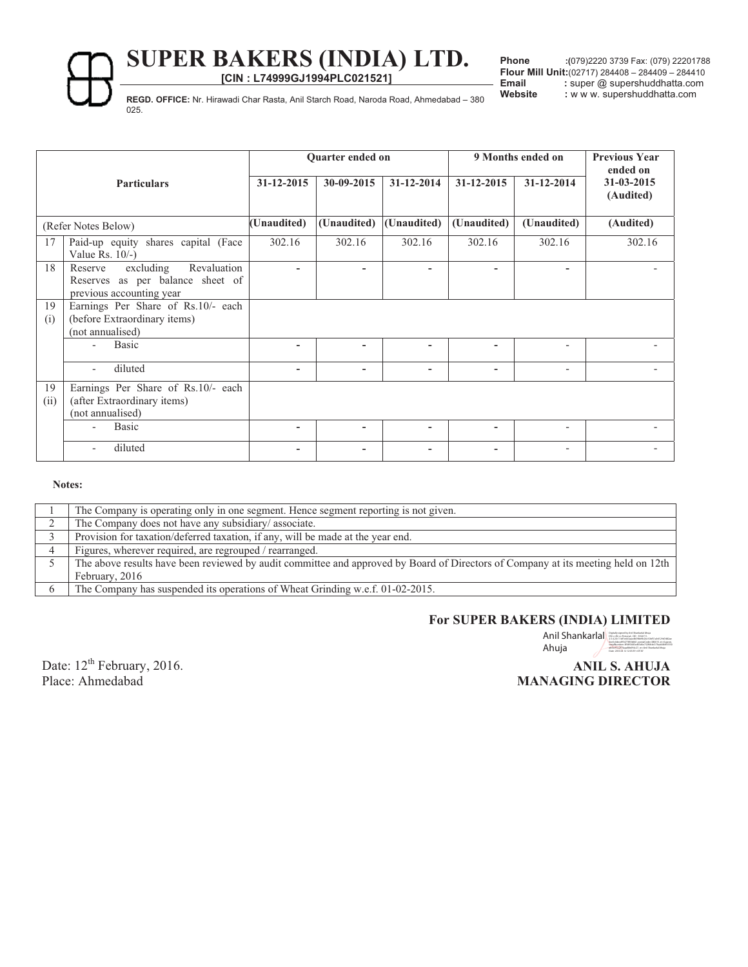**[CIN : L74999GJ1994PLC021521]**

**Phone :(**079)2220 3739 Fax: (079) 22201788 **Flour Mill Unit:**(02717) 284408 – 284409 – 284410 Email : super @ supershuddhatta.com

REGD. OFFICE: Nr. Hirawadi Char Rasta, Anil Starch Road, Naroda Road, Ahmedabad – 380 Website : w w w. supershuddhatta.com 025.

| <b>Particulars</b>  |                                                                                                     | Quarter ended on |             |                  | 9 Months ended on |                              | <b>Previous Year</b><br>ended on |
|---------------------|-----------------------------------------------------------------------------------------------------|------------------|-------------|------------------|-------------------|------------------------------|----------------------------------|
|                     |                                                                                                     | $31 - 12 - 2015$ | 30-09-2015  | $31 - 12 - 2014$ | $31 - 12 - 2015$  | 31-12-2014                   | 31-03-2015<br>(Audited)          |
| (Refer Notes Below) |                                                                                                     | (Unaudited)      | (Unaudited) | (Unaudited)      | (Unaudited)       | (Unaudited)                  | (Audited)                        |
| 17                  | Paid-up equity shares capital (Face<br>Value Rs. $10/-$ )                                           | 302.16           | 302.16      | 302.16           | 302.16            | 302.16                       | 302.16                           |
| 18                  | Revaluation<br>excluding<br>Reserve<br>Reserves as per balance sheet of<br>previous accounting year |                  | ٠           | ٠                | ٠                 | $\overline{\phantom{0}}$     |                                  |
| 19<br>(i)           | Earnings Per Share of Rs.10/- each<br>(before Extraordinary items)<br>(not annualised)              |                  |             |                  |                   |                              |                                  |
|                     | <b>Basic</b>                                                                                        | ۰                | ۰           | ٠                | ۰                 | $\qquad \qquad \blacksquare$ |                                  |
|                     | diluted                                                                                             | -                | ۰           | ۰                | ۰                 | $\overline{\phantom{a}}$     |                                  |
| 19<br>(ii)          | Earnings Per Share of Rs.10/- each<br>(after Extraordinary items)<br>(not annualised)               |                  |             |                  |                   |                              |                                  |
|                     | <b>Basic</b>                                                                                        | ۰                | ۰           | ۰                | ۰                 | $\overline{\phantom{0}}$     |                                  |
|                     | diluted                                                                                             |                  | ۰           | ۰                | ۰                 | $\overline{\phantom{a}}$     |                                  |

**Notes:** 

| The Company is operating only in one segment. Hence segment reporting is not given.                                               |
|-----------------------------------------------------------------------------------------------------------------------------------|
| The Company does not have any subsidiary/associate.                                                                               |
| Provision for taxation/deferred taxation, if any, will be made at the year end.                                                   |
| Figures, wherever required, are regrouped / rearranged.                                                                           |
| The above results have been reviewed by audit committee and approved by Board of Directors of Company at its meeting held on 12th |
| February, 2016                                                                                                                    |
| The Company has suspended its operations of Wheat Grinding w.e.f. 01-02-2015.                                                     |

#### **For SUPER BAKERS (INDIA) LIMITED**

Anil Shankarla | Beath (Spack) and the contract of the second (1964)<br>
Anil Shankarla | Bankarla and the contract of the second contract interaction of the second state of the second state of the second state of the second Ahuja ab5ec91c2f73aaa88e094c27, cn=Anil Shankarlal Ahuja Date: 2016.02.12 12:03:59 +05'30'

Date: 12<sup>th</sup> February, 2016. Place: Ahmedabad

# **ANIL S. AHUJA MANAGING DIRECTOR**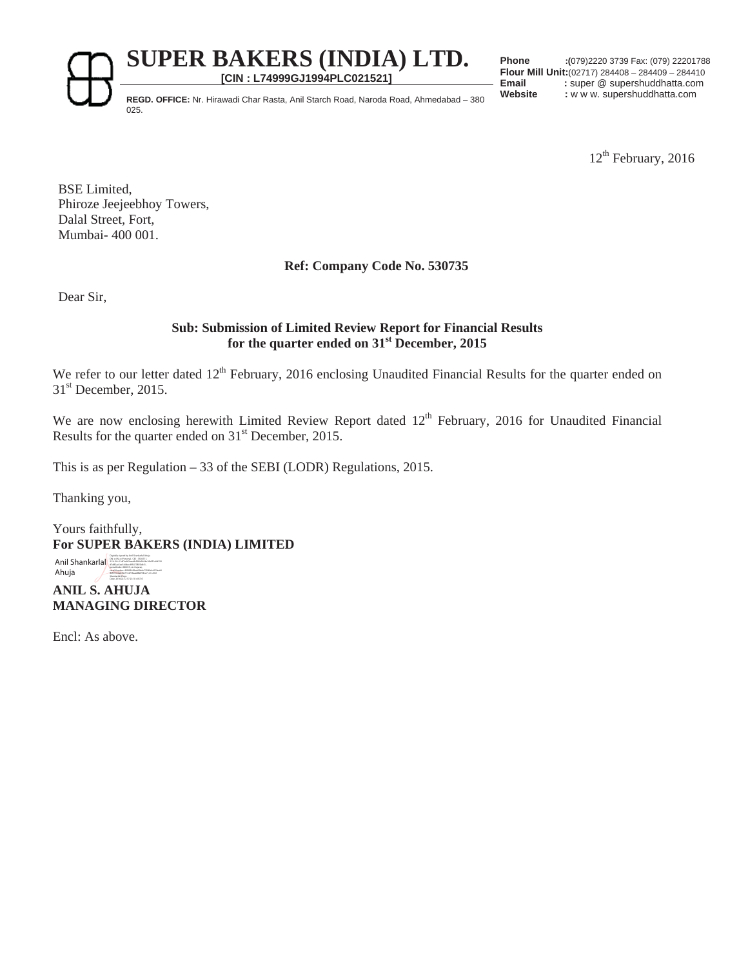**[CIN : L74999GJ1994PLC021521]**

**Phone :(**079)2220 3739 Fax: (079) 22201788 **Flour Mill Unit:**(02717) 284408 – 284409 – 284410 Email : super @ supershuddhatta.com

REGD. OFFICE: Nr. Hirawadi Char Rasta, Anil Starch Road, Naroda Road, Ahmedabad – 380 Website : w w w. supershuddhatta.com 025.

12<sup>th</sup> February, 2016

BSE Limited, Phiroze Jeejeebhoy Towers, Dalal Street, Fort, Mumbai- 400 001.

# **Ref: Company Code No. 530735**

Dear Sir,

## **Sub: Submission of Limited Review Report for Financial Results for the quarter ended on 31st December, 2015**

We refer to our letter dated 12<sup>th</sup> February, 2016 enclosing Unaudited Financial Results for the quarter ended on 31<sup>st</sup> December, 2015.

We are now enclosing herewith Limited Review Report dated 12<sup>th</sup> February, 2016 for Unaudited Financial Results for the quarter ended on  $31<sup>st</sup>$  December, 2015.

This is as per Regulation – 33 of the SEBI (LODR) Regulations, 2015.

Thanking you,

Yours faithfully, **For SUPER BAKERS (INDIA) LIMITED** 

 $\text{Anil Shankarial} \$ Ahuja postalCode=380015, st=Gujarat,<br>siK<u>alNumber=3ffd93683ed63d6e</u>732f6fcb417faa66<br>SHS5556ab5ec91c2f73aaa88e094c27, cn=Anil<br>Shankarlal Ahuja<br>Date: 2016.02.12 17:23:10 +05'30'

**ANIL S. AHUJA MANAGING DIRECTOR**

Encl: As above.